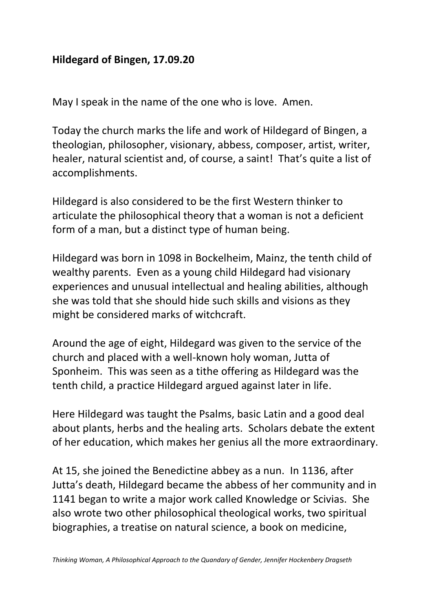## **Hildegard of Bingen, 17.09.20**

May I speak in the name of the one who is love. Amen.

Today the church marks the life and work of Hildegard of Bingen, a theologian, philosopher, visionary, abbess, composer, artist, writer, healer, natural scientist and, of course, a saint! That's quite a list of accomplishments.

Hildegard is also considered to be the first Western thinker to articulate the philosophical theory that a woman is not a deficient form of a man, but a distinct type of human being.

Hildegard was born in 1098 in Bockelheim, Mainz, the tenth child of wealthy parents. Even as a young child Hildegard had visionary experiences and unusual intellectual and healing abilities, although she was told that she should hide such skills and visions as they might be considered marks of witchcraft.

Around the age of eight, Hildegard was given to the service of the church and placed with a well-known holy woman, Jutta of Sponheim. This was seen as a tithe offering as Hildegard was the tenth child, a practice Hildegard argued against later in life.

Here Hildegard was taught the Psalms, basic Latin and a good deal about plants, herbs and the healing arts. Scholars debate the extent of her education, which makes her genius all the more extraordinary.

At 15, she joined the Benedictine abbey as a nun. In 1136, after Jutta's death, Hildegard became the abbess of her community and in 1141 began to write a major work called Knowledge or Scivias. She also wrote two other philosophical theological works, two spiritual biographies, a treatise on natural science, a book on medicine,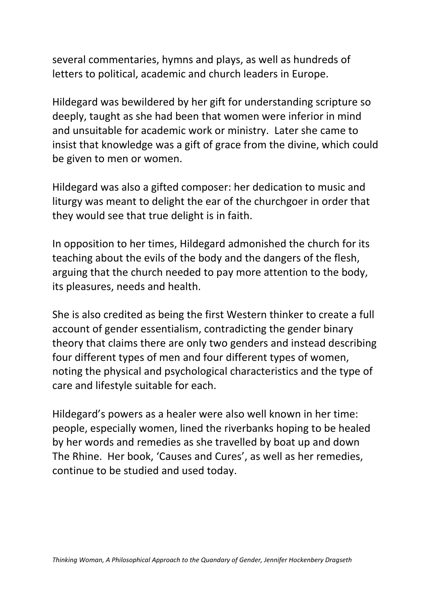several commentaries, hymns and plays, as well as hundreds of letters to political, academic and church leaders in Europe.

Hildegard was bewildered by her gift for understanding scripture so deeply, taught as she had been that women were inferior in mind and unsuitable for academic work or ministry. Later she came to insist that knowledge was a gift of grace from the divine, which could be given to men or women.

Hildegard was also a gifted composer: her dedication to music and liturgy was meant to delight the ear of the churchgoer in order that they would see that true delight is in faith.

In opposition to her times, Hildegard admonished the church for its teaching about the evils of the body and the dangers of the flesh, arguing that the church needed to pay more attention to the body, its pleasures, needs and health.

She is also credited as being the first Western thinker to create a full account of gender essentialism, contradicting the gender binary theory that claims there are only two genders and instead describing four different types of men and four different types of women, noting the physical and psychological characteristics and the type of care and lifestyle suitable for each.

Hildegard's powers as a healer were also well known in her time: people, especially women, lined the riverbanks hoping to be healed by her words and remedies as she travelled by boat up and down The Rhine. Her book, 'Causes and Cures', as well as her remedies, continue to be studied and used today.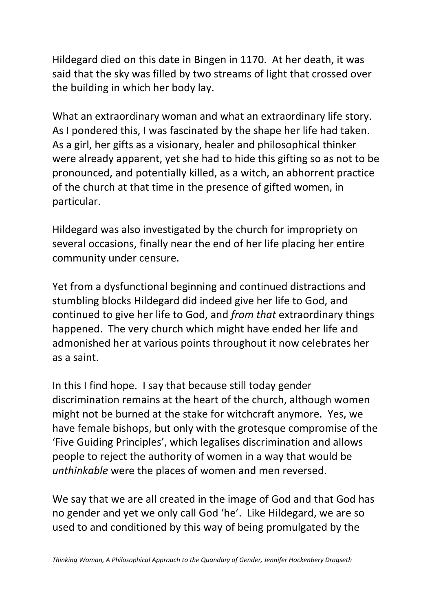Hildegard died on this date in Bingen in 1170. At her death, it was said that the sky was filled by two streams of light that crossed over the building in which her body lay.

What an extraordinary woman and what an extraordinary life story. As I pondered this, I was fascinated by the shape her life had taken. As a girl, her gifts as a visionary, healer and philosophical thinker were already apparent, yet she had to hide this gifting so as not to be pronounced, and potentially killed, as a witch, an abhorrent practice of the church at that time in the presence of gifted women, in particular.

Hildegard was also investigated by the church for impropriety on several occasions, finally near the end of her life placing her entire community under censure.

Yet from a dysfunctional beginning and continued distractions and stumbling blocks Hildegard did indeed give her life to God, and continued to give her life to God, and *from that* extraordinary things happened. The very church which might have ended her life and admonished her at various points throughout it now celebrates her as a saint.

In this I find hope. I say that because still today gender discrimination remains at the heart of the church, although women might not be burned at the stake for witchcraft anymore. Yes, we have female bishops, but only with the grotesque compromise of the 'Five Guiding Principles', which legalises discrimination and allows people to reject the authority of women in a way that would be *unthinkable* were the places of women and men reversed.

We say that we are all created in the image of God and that God has no gender and yet we only call God 'he'. Like Hildegard, we are so used to and conditioned by this way of being promulgated by the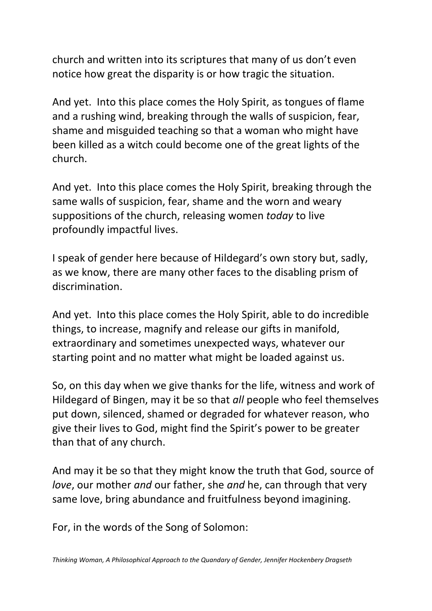church and written into its scriptures that many of us don't even notice how great the disparity is or how tragic the situation.

And yet. Into this place comes the Holy Spirit, as tongues of flame and a rushing wind, breaking through the walls of suspicion, fear, shame and misguided teaching so that a woman who might have been killed as a witch could become one of the great lights of the church.

And yet. Into this place comes the Holy Spirit, breaking through the same walls of suspicion, fear, shame and the worn and weary suppositions of the church, releasing women *today* to live profoundly impactful lives.

I speak of gender here because of Hildegard's own story but, sadly, as we know, there are many other faces to the disabling prism of discrimination.

And yet. Into this place comes the Holy Spirit, able to do incredible things, to increase, magnify and release our gifts in manifold, extraordinary and sometimes unexpected ways, whatever our starting point and no matter what might be loaded against us.

So, on this day when we give thanks for the life, witness and work of Hildegard of Bingen, may it be so that *all* people who feel themselves put down, silenced, shamed or degraded for whatever reason, who give their lives to God, might find the Spirit's power to be greater than that of any church.

And may it be so that they might know the truth that God, source of *love*, our mother *and* our father, she *and* he, can through that very same love, bring abundance and fruitfulness beyond imagining.

For, in the words of the Song of Solomon: